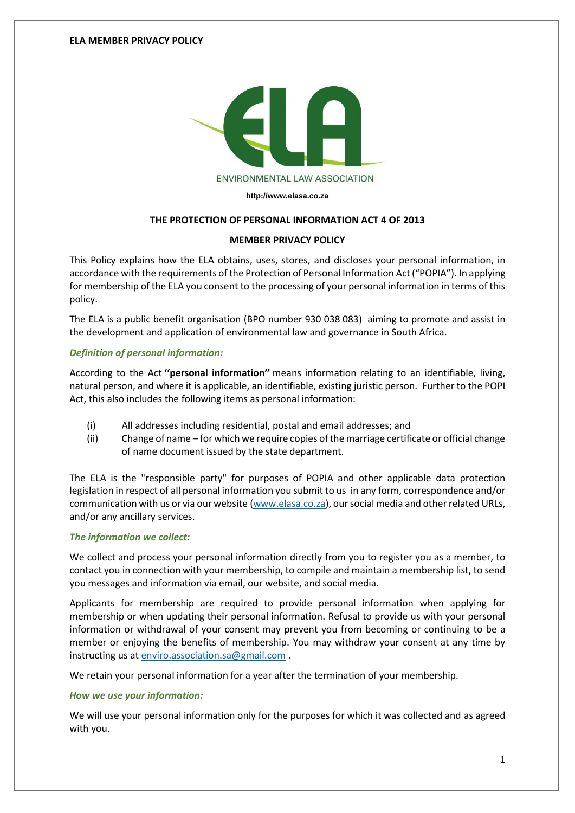

**[http://www.elasa.co.za](http://www.elasa.co.za/)**

## **THE PROTECTION OF PERSONAL INFORMATION ACT 4 OF 2013**

## **MEMBER PRIVACY POLICY**

This Policy explains how the ELA obtains, uses, stores, and discloses your personal information, in accordance with the requirements of the Protection of Personal Information Act ("POPIA"). In applying for membership of the ELA you consent to the processing of your personal information in terms of this policy.

The ELA is a public benefit organisation (BPO number 930 038 083) aiming to promote and assist in the development and application of environmental law and governance in South Africa.

## *Definition of personal information:*

According to the Act **''personal information''** means information relating to an identifiable, living, natural person, and where it is applicable, an identifiable, existing juristic person. Further to the POPI Act, this also includes the following items as personal information:

- (i) All addresses including residential, postal and email addresses; and
- (ii) Change of name for which we require copies of the marriage certificate or official change of name document issued by the state department.

The ELA is the "responsible party" for purposes of POPIA and other applicable data protection legislation in respect of all personal information you submit to us in any form, correspondence and/or communication with us or via our website [\(www.elasa.co.za\)](http://www.elasa.co.za/), our social media and other related URLs, and/or any ancillary services.

### *The information we collect:*

We collect and process your personal information directly from you to register you as a member, to contact you in connection with your membership, to compile and maintain a membership list, to send you messages and information via email, our website, and social media.

Applicants for membership are required to provide personal information when applying for membership or when updating their personal information. Refusal to provide us with your personal information or withdrawal of your consent may prevent you from becoming or continuing to be a member or enjoying the benefits of membership. You may withdraw your consent at any time by instructing us at [enviro.association.sa@gmail.com](mailto:enviro.association.sa@gmail.com) .

We retain your personal information for a year after the termination of your membership.

### *How we use your information:*

We will use your personal information only for the purposes for which it was collected and as agreed with you.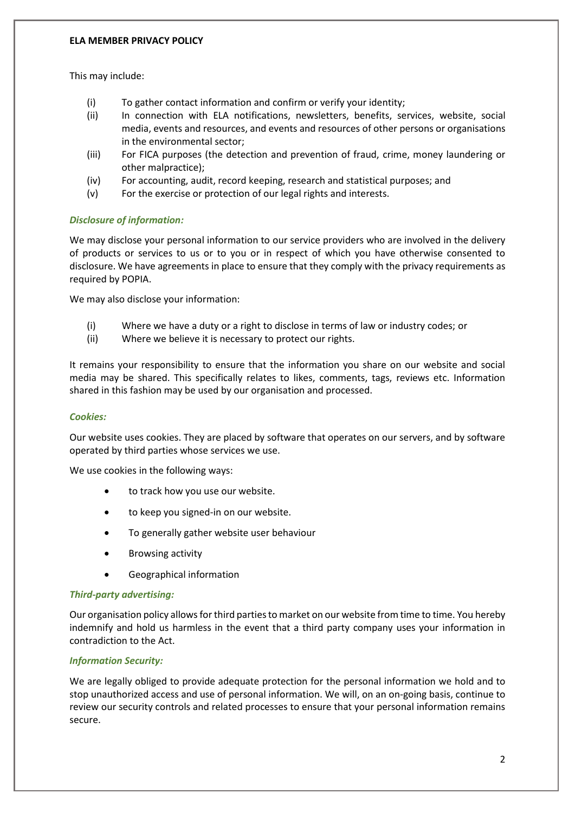## **ELA MEMBER PRIVACY POLICY**

This may include:

- (i) To gather contact information and confirm or verify your identity;
- (ii) In connection with ELA notifications, newsletters, benefits, services, website, social media, events and resources, and events and resources of other persons or organisations in the environmental sector;
- (iii) For FICA purposes (the detection and prevention of fraud, crime, money laundering or other malpractice);
- (iv) For accounting, audit, record keeping, research and statistical purposes; and
- (v) For the exercise or protection of our legal rights and interests.

# *Disclosure of information:*

We may disclose your personal information to our service providers who are involved in the delivery of products or services to us or to you or in respect of which you have otherwise consented to disclosure. We have agreements in place to ensure that they comply with the privacy requirements as required by POPIA.

We may also disclose your information:

- (i) Where we have a duty or a right to disclose in terms of law or industry codes; or
- (ii) Where we believe it is necessary to protect our rights.

It remains your responsibility to ensure that the information you share on our website and social media may be shared. This specifically relates to likes, comments, tags, reviews etc. Information shared in this fashion may be used by our organisation and processed.

## *Cookies:*

Our website uses cookies. They are placed by software that operates on our servers, and by software operated by third parties whose services we use.

We use cookies in the following ways:

- to track how you use our website.
- to keep you signed-in on our website.
- To generally gather website user behaviour
- Browsing activity
- Geographical information

## *Third-party advertising:*

Our organisation policy allows for third parties to market on our website from time to time. You hereby indemnify and hold us harmless in the event that a third party company uses your information in contradiction to the Act.

## *Information Security:*

We are legally obliged to provide adequate protection for the personal information we hold and to stop unauthorized access and use of personal information. We will, on an on-going basis, continue to review our security controls and related processes to ensure that your personal information remains secure.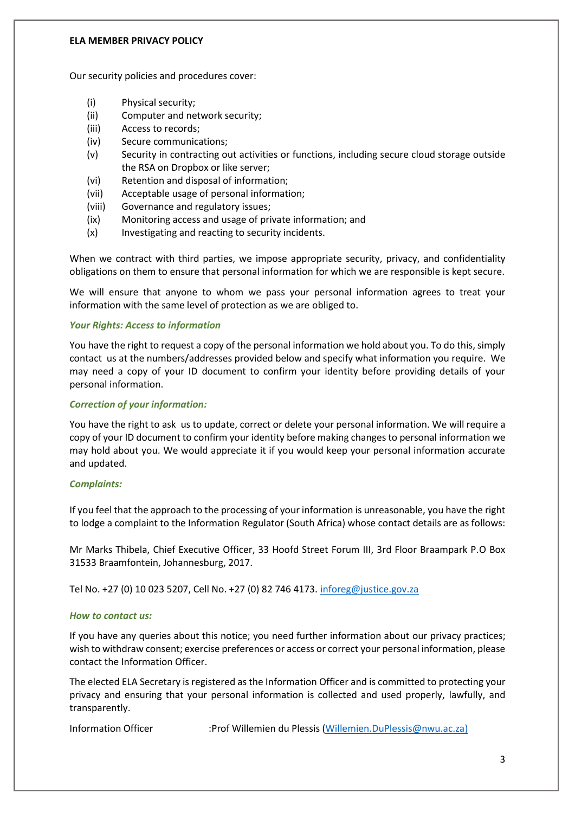### **ELA MEMBER PRIVACY POLICY**

Our security policies and procedures cover:

- (i) Physical security;
- (ii) Computer and network security;
- (iii) Access to records;
- (iv) Secure communications;
- (v) Security in contracting out activities or functions, including secure cloud storage outside the RSA on Dropbox or like server;
- (vi) Retention and disposal of information;
- (vii) Acceptable usage of personal information;
- (viii) Governance and regulatory issues;
- (ix) Monitoring access and usage of private information; and
- (x) Investigating and reacting to security incidents.

When we contract with third parties, we impose appropriate security, privacy, and confidentiality obligations on them to ensure that personal information for which we are responsible is kept secure.

We will ensure that anyone to whom we pass your personal information agrees to treat your information with the same level of protection as we are obliged to.

## *Your Rights: Access to information*

You have the right to request a copy of the personal information we hold about you. To do this, simply contact us at the numbers/addresses provided below and specify what information you require. We may need a copy of your ID document to confirm your identity before providing details of your personal information.

### *Correction of your information:*

You have the right to ask us to update, correct or delete your personal information. We will require a copy of your ID document to confirm your identity before making changes to personal information we may hold about you. We would appreciate it if you would keep your personal information accurate and updated.

### *Complaints:*

If you feel that the approach to the processing of your information is unreasonable, you have the right to lodge a complaint to the Information Regulator (South Africa) whose contact details are as follows:

Mr Marks Thibela, Chief Executive Officer, 33 Hoofd Street Forum III, 3rd Floor Braampark P.O Box 31533 Braamfontein, Johannesburg, 2017.

Tel No. +27 (0) 10 023 5207, Cell No. +27 (0) 82 746 4173[. inforeg@justice.gov.za](mailto:inforeg@justice.gov.za)

### *How to contact us:*

If you have any queries about this notice; you need further information about our privacy practices; wish to withdraw consent; exercise preferences or access or correct your personal information, please contact the Information Officer.

The elected ELA Secretary is registered as the Information Officer and is committed to protecting your privacy and ensuring that your personal information is collected and used properly, lawfully, and transparently.

Information Officer :Prof Willemien du Plessis [\(Willemien.DuPlessis@nwu.ac.za\)](mailto:Willemien.DuPlessis@nwu.ac.za)